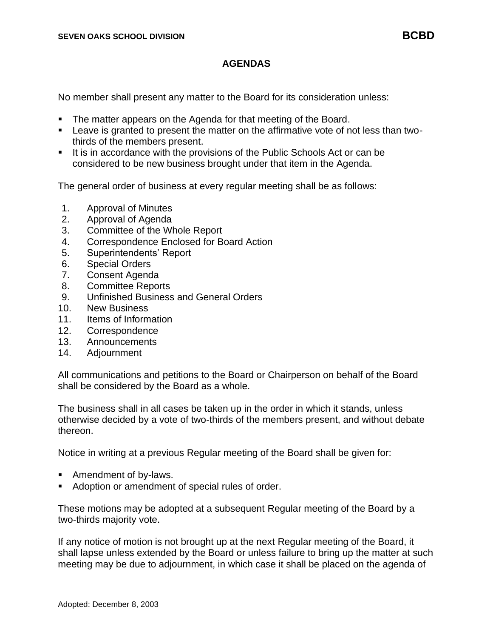No member shall present any matter to the Board for its consideration unless:

- **The matter appears on the Agenda for that meeting of the Board.**
- Leave is granted to present the matter on the affirmative vote of not less than twothirds of the members present.
- It is in accordance with the provisions of the Public Schools Act or can be considered to be new business brought under that item in the Agenda.

The general order of business at every regular meeting shall be as follows:

- 1. Approval of Minutes
- 2. Approval of Agenda
- 3. Committee of the Whole Report
- 4. Correspondence Enclosed for Board Action
- 5. Superintendents' Report
- 6. Special Orders
- 7. Consent Agenda
- 8. Committee Reports
- 9. Unfinished Business and General Orders
- 10. New Business
- 11. Items of Information
- 12. Correspondence
- 13. Announcements
- 14. Adjournment

All communications and petitions to the Board or Chairperson on behalf of the Board shall be considered by the Board as a whole.

The business shall in all cases be taken up in the order in which it stands, unless otherwise decided by a vote of two-thirds of the members present, and without debate thereon.

Notice in writing at a previous Regular meeting of the Board shall be given for:

- Amendment of by-laws.
- Adoption or amendment of special rules of order.

These motions may be adopted at a subsequent Regular meeting of the Board by a two-thirds majority vote.

If any notice of motion is not brought up at the next Regular meeting of the Board, it shall lapse unless extended by the Board or unless failure to bring up the matter at such meeting may be due to adjournment, in which case it shall be placed on the agenda of